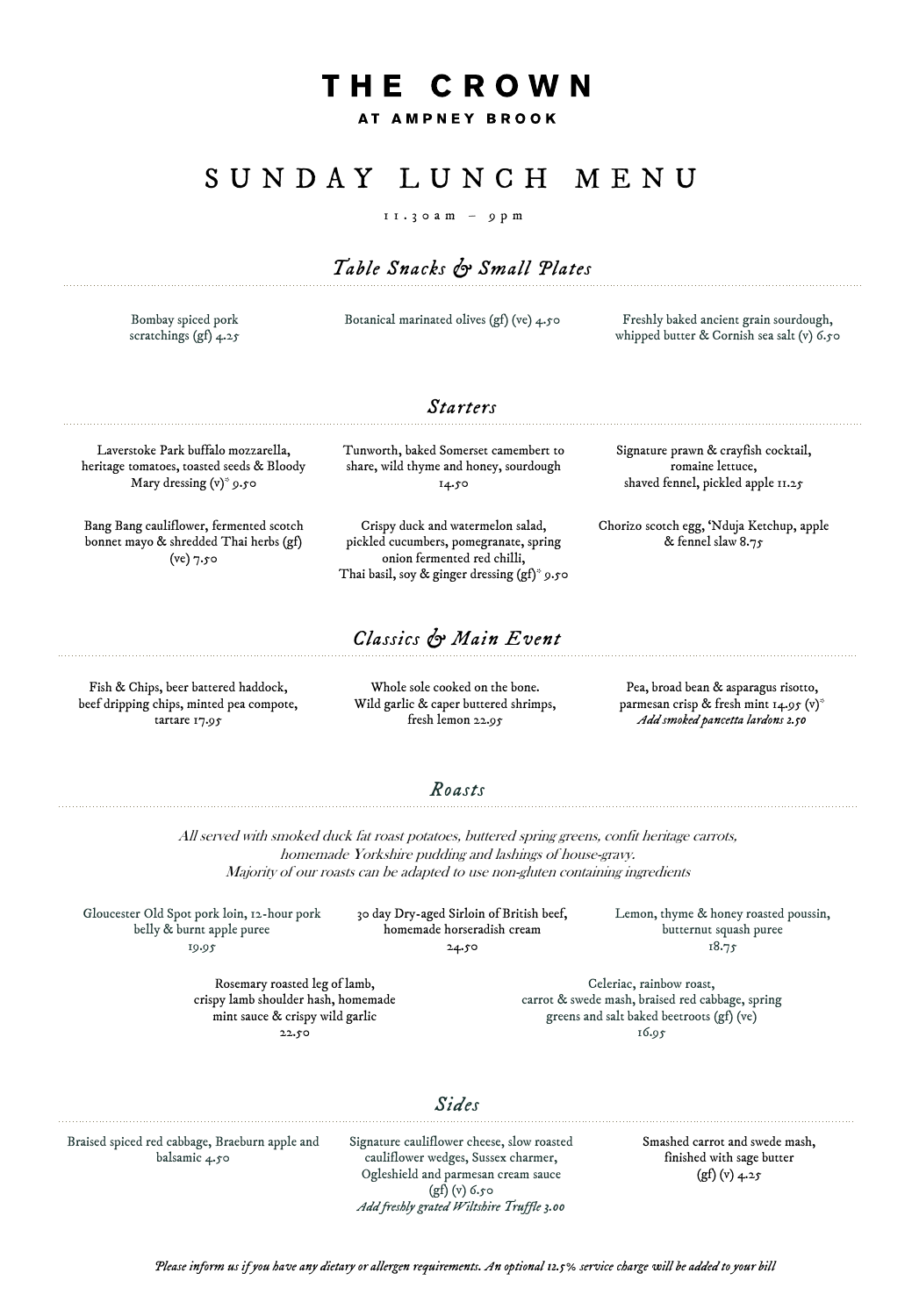# THE CROWN

AT AMPNEY BROOK

## S U N D A Y L U N C H M E N U

#### $11.3$  o a m – 9 p m

### *Table Snacks & Small Plates*

Bombay spiced pork scratchings (gf) 4.25 Botanical marinated olives (gf) (ve) 4.50 Freshly baked ancient grain sourdough,

whipped butter & Cornish sea salt (v) 6.50

Laverstoke Park buffalo mozzarella, heritage tomatoes, toasted seeds & Bloody Mary dressing (v)\* 9.50

Bang Bang cauliflower, fermented scotch bonnet mayo & shredded Thai herbs (gf)  $(ve)$  7.50

Tunworth, baked Somerset camembert to share, wild thyme and honey, sourdough 14.50

*Starters*

Crispy duck and watermelon salad, pickled cucumbers, pomegranate, spring onion fermented red chilli, Thai basil, soy & ginger dressing (gf)\* 9.50

#### *Classics & Main Event*

Fish & Chips, beer battered haddock, beef dripping chips, minted pea compote, tartare 17.95

Whole sole cooked on the bone. Wild garlic & caper buttered shrimps, fresh lemon 22.95

Chorizo scotch egg, 'Nduja Ketchup, apple & fennel slaw 8.75

Signature prawn & crayfish cocktail, romaine lettuce, shaved fennel, pickled apple 11.25

Pea, broad bean & asparagus risotto, parmesan crisp & fresh mint 14.95 (v)\* *Add smoked pancetta lardons 2.50*

#### *Roasts*

All served with smoked duck fat roast potatoes, buttered spring greens, confit heritage carrots, homemade Yorkshire pudding and lashings of house-gravy. Majority of our roasts can be adapted to use non-gluten containing ingredients

Gloucester Old Spot pork loin, 12-hour pork belly & burnt apple puree 19.95

30 day Dry-aged Sirloin of British beef, homemade horseradish cream 24.50

Lemon, thyme & honey roasted poussin, butternut squash puree 18.75

Rosemary roasted leg of lamb, crispy lamb shoulder hash, homemade mint sauce & crispy wild garlic 22.50

Celeriac, rainbow roast, carrot & swede mash, braised red cabbage, spring greens and salt baked beetroots (gf) (ve) 16.95

#### *Sides*

Braised spiced red cabbage, Braeburn apple and balsamic 4.50

Signature cauliflower cheese, slow roasted cauliflower wedges, Sussex charmer, Ogleshield and parmesan cream sauce (gf) (v) 6.50 *Add freshly grated Wiltshire Truffle 3.00*

Smashed carrot and swede mash, finished with sage butter  $(gf)(v)$  4.25

*Please inform us if you have any dietary or allergen requirements. An optional 12.5% service charge will be added to your bill*